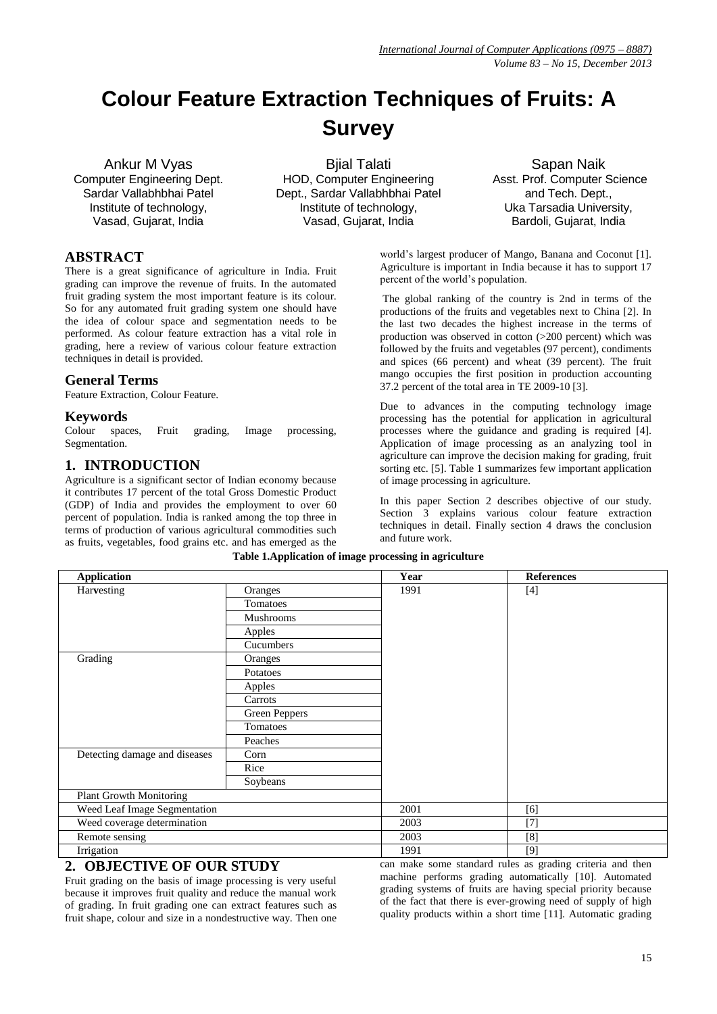# **Colour Feature Extraction Techniques of Fruits: A Survey**

Ankur M Vyas Computer Engineering Dept. Sardar Vallabhbhai Patel Institute of technology, Vasad, Gujarat, India

Bjial Talati HOD, Computer Engineering Dept., Sardar Vallabhbhai Patel Institute of technology, Vasad, Gujarat, India

Sapan Naik Asst. Prof. Computer Science and Tech. Dept., Uka Tarsadia University, Bardoli, Gujarat, India

## **ABSTRACT**

There is a great significance of agriculture in India. Fruit grading can improve the revenue of fruits. In the automated fruit grading system the most important feature is its colour. So for any automated fruit grading system one should have the idea of colour space and segmentation needs to be performed. As colour feature extraction has a vital role in grading, here a review of various colour feature extraction techniques in detail is provided.

#### **General Terms**

Feature Extraction, Colour Feature.

### **Keywords**

Colour spaces, Fruit grading, Image processing, Segmentation.

## **1. INTRODUCTION**

Agriculture is a significant sector of Indian economy because it contributes 17 percent of the total Gross Domestic Product (GDP) of India and provides the employment to over 60 percent of population. India is ranked among the top three in terms of production of various agricultural commodities such as fruits, vegetables, food grains etc. and has emerged as the

world's largest producer of Mango, Banana and Coconut [1]. Agriculture is important in India because it has to support 17 percent of the world's population.

The global ranking of the country is 2nd in terms of the productions of the fruits and vegetables next to China [2]. In the last two decades the highest increase in the terms of production was observed in cotton (>200 percent) which was followed by the fruits and vegetables (97 percent), condiments and spices (66 percent) and wheat (39 percent). The fruit mango occupies the first position in production accounting 37.2 percent of the total area in TE 2009-10 [3].

Due to advances in the computing technology image processing has the potential for application in agricultural processes where the guidance and grading is required [4]. Application of image processing as an analyzing tool in agriculture can improve the decision making for grading, fruit sorting etc. [5]. Table 1 summarizes few important application of image processing in agriculture.

In this paper Section 2 describes objective of our study. Section 3 explains various colour feature extraction techniques in detail. Finally section 4 draws the conclusion and future work.

| <b>Application</b>             |               | Year   | <b>References</b>                                                                                                                                                                                                                                         |
|--------------------------------|---------------|--------|-----------------------------------------------------------------------------------------------------------------------------------------------------------------------------------------------------------------------------------------------------------|
| Harvesting                     | Oranges       | 1991   | $[4]$                                                                                                                                                                                                                                                     |
|                                | Tomatoes      |        |                                                                                                                                                                                                                                                           |
|                                | Mushrooms     |        |                                                                                                                                                                                                                                                           |
|                                | Apples        |        |                                                                                                                                                                                                                                                           |
|                                | Cucumbers     |        |                                                                                                                                                                                                                                                           |
| Grading                        | Oranges       |        |                                                                                                                                                                                                                                                           |
|                                | Potatoes      |        |                                                                                                                                                                                                                                                           |
|                                | Apples        |        |                                                                                                                                                                                                                                                           |
|                                | Carrots       |        |                                                                                                                                                                                                                                                           |
|                                | Green Peppers |        |                                                                                                                                                                                                                                                           |
|                                | Tomatoes      |        |                                                                                                                                                                                                                                                           |
|                                | Peaches       |        |                                                                                                                                                                                                                                                           |
| Detecting damage and diseases  | Corn          |        |                                                                                                                                                                                                                                                           |
|                                | Rice          |        |                                                                                                                                                                                                                                                           |
|                                | Soybeans      |        |                                                                                                                                                                                                                                                           |
| <b>Plant Growth Monitoring</b> |               |        |                                                                                                                                                                                                                                                           |
| Weed Leaf Image Segmentation   |               | 2001   | [6]                                                                                                                                                                                                                                                       |
| Weed coverage determination    |               | 2003   | $[7]$                                                                                                                                                                                                                                                     |
| Remote sensing                 |               | 2003   | [8]                                                                                                                                                                                                                                                       |
| Irrigation                     |               | 1991   | [9]                                                                                                                                                                                                                                                       |
|                                |               | $\sim$ | $\mathbf{a}$ . The contract of the contract of the contract of the contract of the contract of the contract of the contract of the contract of the contract of the contract of the contract of the contract of the contract of th<br>$\sim$ $\sim$ $\sim$ |

#### **Table 1.Application of image processing in agriculture**

## **2. OBJECTIVE OF OUR STUDY**

Fruit grading on the basis of image processing is very useful because it improves fruit quality and reduce the manual work of grading. In fruit grading one can extract features such as fruit shape, colour and size in a nondestructive way. Then one

can make some standard rules as grading criteria and then machine performs grading automatically [10]. Automated grading systems of fruits are having special priority because of the fact that there is ever-growing need of supply of high quality products within a short time [11]. Automatic grading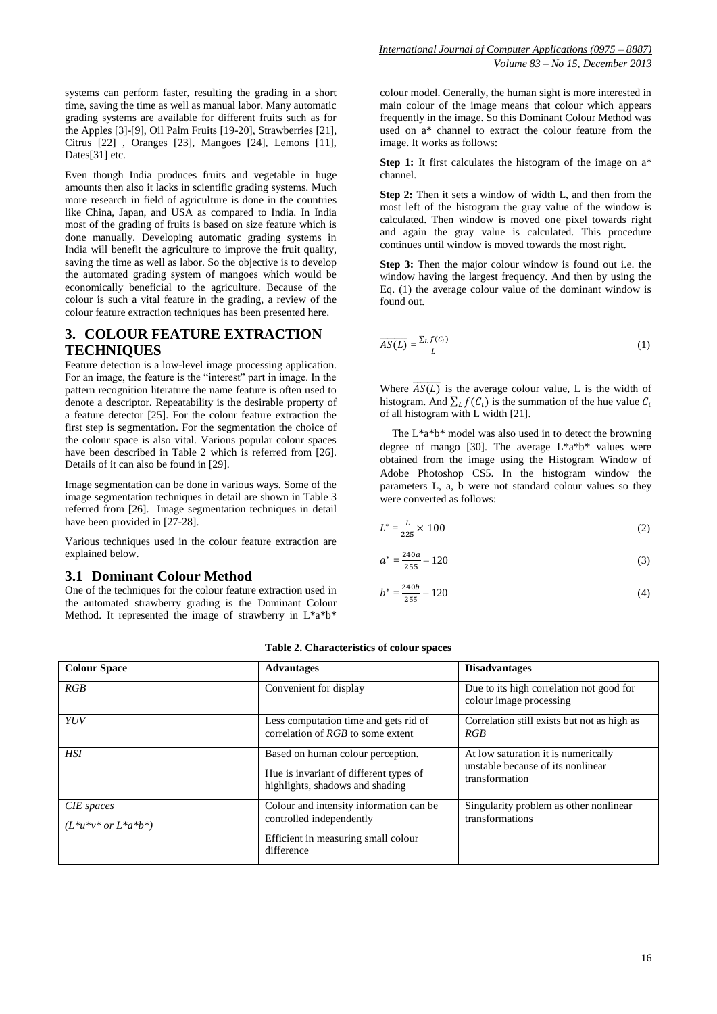systems can perform faster, resulting the grading in a short time, saving the time as well as manual labor. Many automatic grading systems are available for different fruits such as for the Apples [3]-[9], Oil Palm Fruits [19-20], Strawberries [21], Citrus [22] , Oranges [23], Mangoes [24], Lemons [11], Dates[31] etc.

Even though India produces fruits and vegetable in huge amounts then also it lacks in scientific grading systems. Much more research in field of agriculture is done in the countries like China, Japan, and USA as compared to India. In India most of the grading of fruits is based on size feature which is done manually. Developing automatic grading systems in India will benefit the agriculture to improve the fruit quality, saving the time as well as labor. So the objective is to develop the automated grading system of mangoes which would be economically beneficial to the agriculture. Because of the colour is such a vital feature in the grading, a review of the colour feature extraction techniques has been presented here.

## **3. COLOUR FEATURE EXTRACTION TECHNIQUES**

Feature detection is a low-level image processing application. For an image, the feature is the "interest" part in image. In the pattern recognition literature the name feature is often used to denote a descriptor. Repeatability is the desirable property of a feature detector [25]. For the colour feature extraction the first step is segmentation. For the segmentation the choice of the colour space is also vital. Various popular colour spaces have been described in Table 2 which is referred from [26]. Details of it can also be found in [29].

Image segmentation can be done in various ways. Some of the image segmentation techniques in detail are shown in Table 3 referred from [26]. Image segmentation techniques in detail have been provided in [27-28].

Various techniques used in the colour feature extraction are explained below.

### **3.1 Dominant Colour Method**

One of the techniques for the colour feature extraction used in the automated strawberry grading is the Dominant Colour Method. It represented the image of strawberry in  $L^*a^*b^*$ 

colour model. Generally, the human sight is more interested in main colour of the image means that colour which appears frequently in the image. So this Dominant Colour Method was used on a<sup>\*</sup> channel to extract the colour feature from the image. It works as follows:

**Step 1:** It first calculates the histogram of the image on  $a^*$ channel.

**Step 2:** Then it sets a window of width L, and then from the most left of the histogram the gray value of the window is calculated. Then window is moved one pixel towards right and again the gray value is calculated. This procedure continues until window is moved towards the most right.

**Step 3:** Then the major colour window is found out i.e. the window having the largest frequency. And then by using the Eq. (1) the average colour value of the dominant window is found out.

$$
\overline{AS(L)} = \frac{\sum_{L} f(c_i)}{L} \tag{1}
$$

Where  $\overline{AS(L)}$  is the average colour value, L is the width of histogram. And  $\sum_l f(C_l)$  is the summation of the hue value  $C_i$ of all histogram with L width [21].

The L\*a\*b\* model was also used in to detect the browning degree of mango [30]. The average  $L^*a^*b^*$  values were obtained from the image using the Histogram Window of Adobe Photoshop CS5. In the histogram window the parameters L, a, b were not standard colour values so they were converted as follows:

$$
L^* = \frac{L}{225} \times 100\tag{2}
$$

$$
a^* = \frac{240a}{255} - 120\tag{3}
$$

$$
b^* = \frac{240b}{255} - 120\tag{4}
$$

| <b>Colour Space</b>                        | <b>Advantages</b>                                                                                                        | <b>Disadvantages</b>                                                                       |  |
|--------------------------------------------|--------------------------------------------------------------------------------------------------------------------------|--------------------------------------------------------------------------------------------|--|
| RGB                                        | Convenient for display                                                                                                   | Due to its high correlation not good for<br>colour image processing                        |  |
| YUV                                        | Less computation time and gets rid of<br>correlation of $RGB$ to some extent                                             | Correlation still exists but not as high as<br>RGB                                         |  |
| <b>HSI</b>                                 | Based on human colour perception.<br>Hue is invariant of different types of<br>highlights, shadows and shading           | At low saturation it is numerically<br>unstable because of its nonlinear<br>transformation |  |
| CIE spaces<br>$(L^*u^*v^*$ or $L^*a^*b^*)$ | Colour and intensity information can be<br>controlled independently<br>Efficient in measuring small colour<br>difference | Singularity problem as other nonlinear.<br>transformations                                 |  |

#### **Table 2. Characteristics of colour spaces**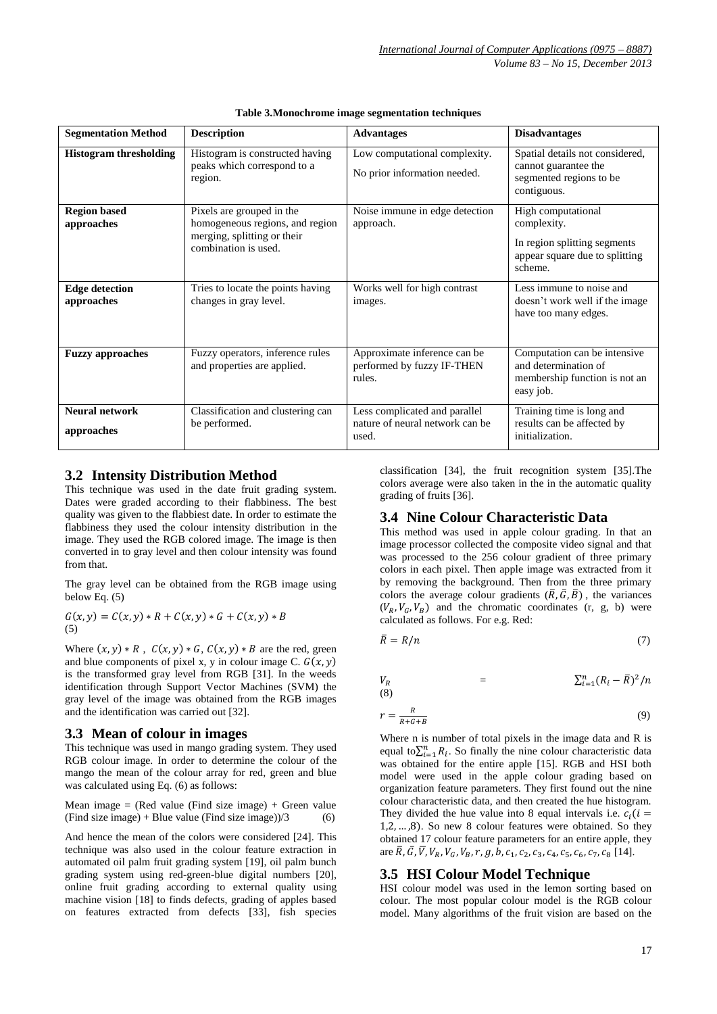| <b>Segmentation Method</b>          | <b>Description</b>                                                                                                  | <b>Advantages</b>                                                         | <b>Disadvantages</b>                                                                                           |
|-------------------------------------|---------------------------------------------------------------------------------------------------------------------|---------------------------------------------------------------------------|----------------------------------------------------------------------------------------------------------------|
| <b>Histogram thresholding</b>       | Histogram is constructed having<br>peaks which correspond to a<br>region.                                           | Low computational complexity.<br>No prior information needed.             | Spatial details not considered,<br>cannot guarantee the<br>segmented regions to be<br>contiguous.              |
| <b>Region based</b><br>approaches   | Pixels are grouped in the<br>homogeneous regions, and region<br>merging, splitting or their<br>combination is used. | Noise immune in edge detection<br>approach.                               | High computational<br>complexity.<br>In region splitting segments<br>appear square due to splitting<br>scheme. |
| <b>Edge detection</b><br>approaches | Tries to locate the points having<br>changes in gray level.                                                         | Works well for high contrast<br>images.                                   | Less immune to noise and<br>doesn't work well if the image<br>have too many edges.                             |
| <b>Fuzzy approaches</b>             | Fuzzy operators, inference rules<br>and properties are applied.                                                     | Approximate inference can be<br>performed by fuzzy IF-THEN<br>rules.      | Computation can be intensive.<br>and determination of<br>membership function is not an<br>easy job.            |
| <b>Neural network</b><br>approaches | Classification and clustering can<br>be performed.                                                                  | Less complicated and parallel<br>nature of neural network can be<br>used. | Training time is long and<br>results can be affected by<br>initialization.                                     |

**Table 3.Monochrome image segmentation techniques**

## **3.2 Intensity Distribution Method**

This technique was used in the date fruit grading system. Dates were graded according to their flabbiness. The best quality was given to the flabbiest date. In order to estimate the flabbiness they used the colour intensity distribution in the image. They used the RGB colored image. The image is then converted in to gray level and then colour intensity was found from that.

The gray level can be obtained from the RGB image using below Eq. (5)

$$
G(x, y) = C(x, y) * R + C(x, y) * G + C(x, y) * B
$$
  
(5)

Where  $(x, y) * R$ ,  $C(x, y) * G$ ,  $C(x, y) * B$  are the red, green and blue components of pixel x, y in colour image C.  $G(x, y)$ is the transformed gray level from RGB [31]. In the weeds identification through Support Vector Machines (SVM) the gray level of the image was obtained from the RGB images and the identification was carried out [32].

## **3.3 Mean of colour in images**

This technique was used in mango grading system. They used RGB colour image. In order to determine the colour of the mango the mean of the colour array for red, green and blue was calculated using Eq. (6) as follows:

Mean image  $=$  (Red value (Find size image) + Green value  $(Find size image) + Blue value (Find size image)/3$  (6)

And hence the mean of the colors were considered [24]. This technique was also used in the colour feature extraction in automated oil palm fruit grading system [19], oil palm bunch grading system using red-green-blue digital numbers [20], online fruit grading according to external quality using machine vision [18] to finds defects, grading of apples based on features extracted from defects [33], fish species

classification [34], the fruit recognition system [35].The colors average were also taken in the in the automatic quality grading of fruits [36].

## **3.4 Nine Colour Characteristic Data**

This method was used in apple colour grading. In that an image processor collected the composite video signal and that was processed to the 256 colour gradient of three primary colors in each pixel. Then apple image was extracted from it by removing the background. Then from the three primary colors the average colour gradients  $(\overline{R}, \overline{G}, \overline{B})$ , the variances  $(V_R, V_G, V_B)$  and the chromatic coordinates (r, g, b) were calculated as follows. For e.g. Red:

$$
\bar{R} = R/n \tag{7}
$$

 $V_R$  =  $_{i=1}^{n}(R_{i}-\bar{R})^{2}/n$ (8)

$$
r = \frac{R}{R + G + B} \tag{9}
$$

Where n is number of total pixels in the image data and R is equal to  $\sum_{i=1}^{n} R_i$ . So finally the nine colour characteristic data was obtained for the entire apple [15]. RGB and HSI both model were used in the apple colour grading based on organization feature parameters. They first found out the nine colour characteristic data, and then created the hue histogram. They divided the hue value into 8 equal intervals i.e.  $c_i$  (*i* =  $1, 2, \ldots, 8$ ). So new 8 colour features were obtained. So they obtained 17 colour feature parameters for an entire apple, they are  $\bar{R}$ ,  $\bar{G}$ ,  $\bar{V}$ ,  $V_R$ ,  $V_G$ ,  $V_B$ ,  $r$ ,  $g$ ,  $b$ ,  $c_1$ ,  $c_2$ ,  $c_3$ ,  $c_4$ ,  $c_5$ ,  $c_6$ ,  $c_7$ ,  $c_8$  [14].

## **3.5 HSI Colour Model Technique**

HSI colour model was used in the lemon sorting based on colour. The most popular colour model is the RGB colour model. Many algorithms of the fruit vision are based on the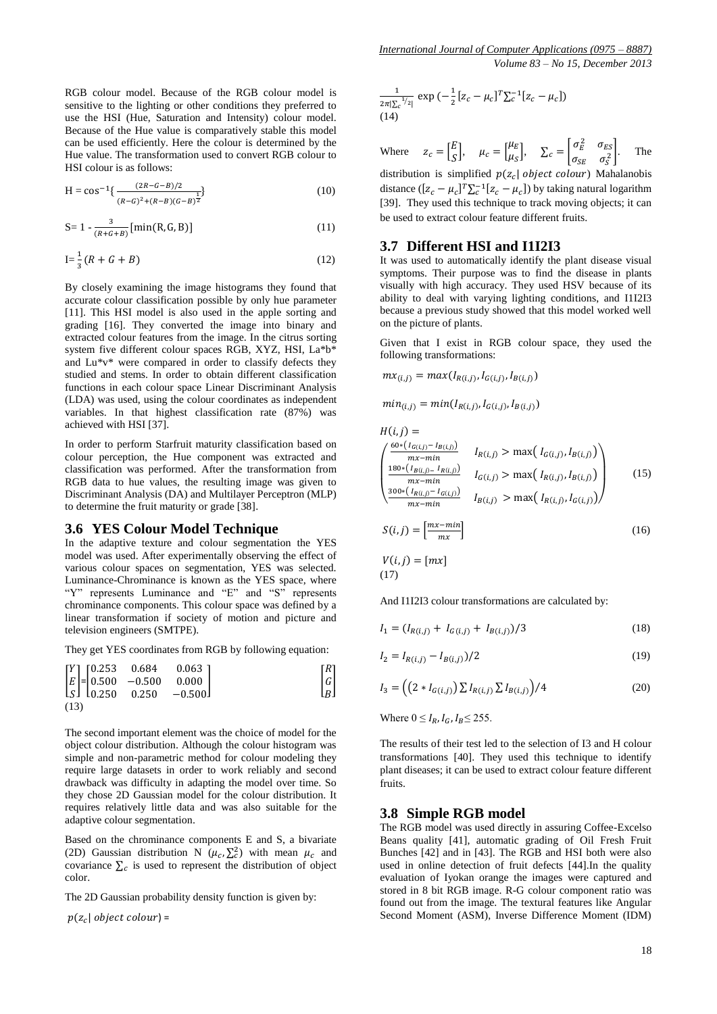RGB colour model. Because of the RGB colour model is sensitive to the lighting or other conditions they preferred to use the HSI (Hue, Saturation and Intensity) colour model. Because of the Hue value is comparatively stable this model can be used efficiently. Here the colour is determined by the Hue value. The transformation used to convert RGB colour to HSI colour is as follows:

$$
H = \cos^{-1}\left\{\frac{(2R - G - B)/2}{(R - G)^2 + (R - B)(G - B)^{\frac{1}{2}}}\right\}
$$
(10)

$$
S = 1 - \frac{3}{(R + G + B)} [\min(R, G, B)] \tag{11}
$$

$$
I = \frac{1}{3}(R + G + B)
$$
 (12)

By closely examining the image histograms they found that accurate colour classification possible by only hue parameter [11]. This HSI model is also used in the apple sorting and grading [16]. They converted the image into binary and extracted colour features from the image. In the citrus sorting system five different colour spaces RGB, XYZ, HSI, La\*b\* and Lu\*v\* were compared in order to classify defects they studied and stems. In order to obtain different classification functions in each colour space Linear Discriminant Analysis (LDA) was used, using the colour coordinates as independent variables. In that highest classification rate (87%) was achieved with HSI [37].

In order to perform Starfruit maturity classification based on colour perception, the Hue component was extracted and classification was performed. After the transformation from RGB data to hue values, the resulting image was given to Discriminant Analysis (DA) and Multilayer Perceptron (MLP) to determine the fruit maturity or grade [38].

#### **3.6 YES Colour Model Technique**

In the adaptive texture and colour segmentation the YES model was used. After experimentally observing the effect of various colour spaces on segmentation, YES was selected. Luminance-Chrominance is known as the YES space, where "Y" represents Luminance and "E" and "S" represents chrominance components. This colour space was defined by a linear transformation if society of motion and picture and television engineers (SMTPE).

They get YES coordinates from RGB by following equation:

$$
\begin{bmatrix} Y \ E \ S \end{bmatrix} = \begin{bmatrix} 0.253 & 0.684 & 0.063 \\ 0.500 & -0.500 & 0.000 \\ 0.250 & 0.250 & -0.500 \end{bmatrix} \qquad \begin{bmatrix} R \\ G \\ B \end{bmatrix}
$$

The second important element was the choice of model for the object colour distribution. Although the colour histogram was simple and non-parametric method for colour modeling they require large datasets in order to work reliably and second drawback was difficulty in adapting the model over time. So they chose 2D Gaussian model for the colour distribution. It requires relatively little data and was also suitable for the adaptive colour segmentation.

Based on the chrominance components E and S, a bivariate (2D) Gaussian distribution N  $(\mu_c, \Sigma_c^2)$  with mean  $\mu_c$  and covariance  $\Sigma_c$  is used to represent the distribution of object color.

The 2D Gaussian probability density function is given by:

 $p(z_c |$  object colour) =

$$
\frac{1}{2\pi|\Sigma_c^{-1/2}|} \exp\left(-\frac{1}{2}\left[z_c - \mu_c\right]^T \Sigma_c^{-1} [z_c - \mu_c]\right)
$$
\n(14)

Where 
$$
z_c = \begin{bmatrix} E \\ S \end{bmatrix}
$$
,  $\mu_c = \begin{bmatrix} \mu_E \\ \mu_S \end{bmatrix}$ ,  $\Sigma_c = \begin{bmatrix} \sigma_E^2 & \sigma_{ES} \\ \sigma_{SE} & \sigma_S^2 \end{bmatrix}$ . The

distribution is simplified  $p(z_c | object colour)$  Mahalanobis distance  $([z_c - \mu_c]^T \Sigma_c^{-1} [z_c - \mu_c])$  by taking natural logarithm [39]. They used this technique to track moving objects; it can be used to extract colour feature different fruits.

#### **3.7 Different HSI and I1I2I3**

It was used to automatically identify the plant disease visual symptoms. Their purpose was to find the disease in plants visually with high accuracy. They used HSV because of its ability to deal with varying lighting conditions, and I1I2I3 because a previous study showed that this model worked well on the picture of plants.

Given that I exist in RGB colour space, they used the following transformations:

$$
mx_{(i,j)} = max(I_{R(i,j)}, I_{G(i,j)}, I_{B(i,j)})
$$

 $min_{(i,j)} = min(I_{R(i,j)}, I_{G(i,j)}, I_{B(i,j)})$ 

$$
H(i,j) = \n\begin{cases}\n\frac{60 * (I_{G(i,j)} - I_{B(i,j)})}{mx - min} & I_{R(i,j)} > \max(I_{G(i,j)}, I_{B(i,j)}) \\
\frac{180 * (I_{B(i,j)-} I_{R(i,j)})}{mx - min} & I_{G(i,j)} > \max(I_{R(i,j)}, I_{B(i,j)}) \\
\frac{300 * (I_{R(i,j)} - I_{G(i,j)})}{mx - min} & I_{B(i,j)} > \max(I_{R(i,j)}, I_{G(i,j)})\n\end{cases}\n\tag{15}
$$
\n
$$
S(i,j) = \left[\frac{mx - min}{mx}\right] \n\tag{16}
$$

$$
V(i,j) = [mx]
$$
  
(17)

And I1I2I3 colour transformations are calculated by:

$$
I_1 = (I_{R(i,j)} + I_{G(i,j)} + I_{B(i,j)})/3
$$
\n(18)

$$
I_2 = I_{R(i,j)} - I_{B(i,j)})/2
$$
\n(19)

$$
I_3 = \left( \left( 2 * I_{G(i,j)} \right) \sum I_{R(i,j)} \sum I_{B(i,j)} \right) / 4 \tag{20}
$$

Where  $0 \leq I_R$ ,  $I_G$ ,  $I_B \leq 255$ .

The results of their test led to the selection of I3 and H colour transformations [40]. They used this technique to identify plant diseases; it can be used to extract colour feature different fruits.

#### **3.8 Simple RGB model**

The RGB model was used directly in assuring Coffee-Excelso Beans quality [41], automatic grading of Oil Fresh Fruit Bunches [42] and in [43]. The RGB and HSI both were also used in online detection of fruit defects [44].In the quality evaluation of Iyokan orange the images were captured and stored in 8 bit RGB image. R-G colour component ratio was found out from the image. The textural features like Angular Second Moment (ASM), Inverse Difference Moment (IDM)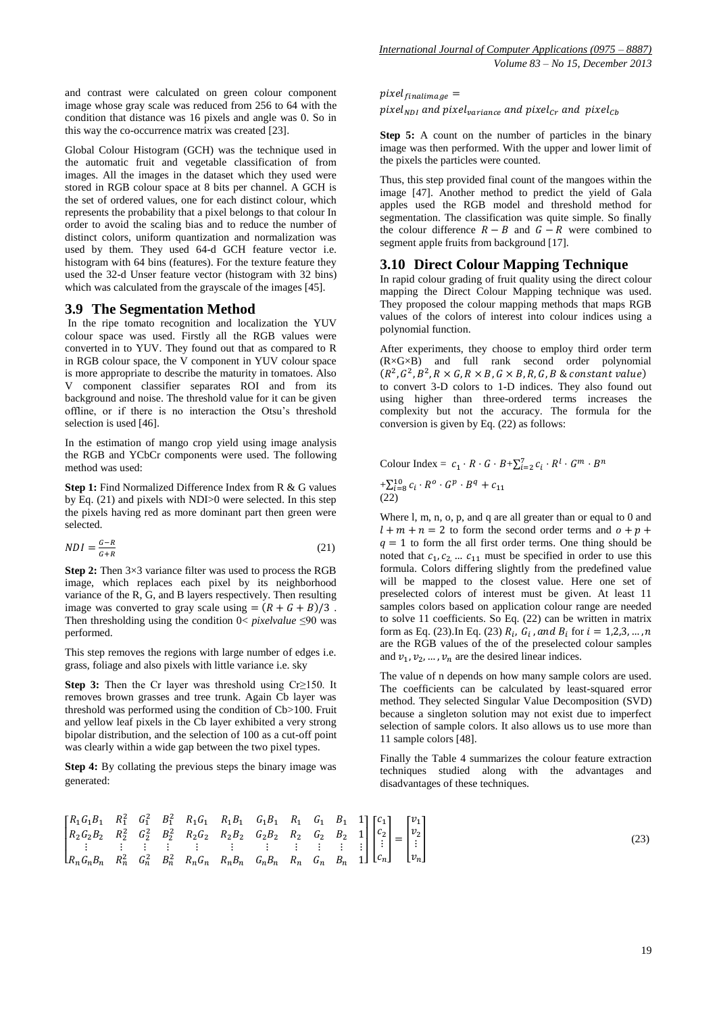and contrast were calculated on green colour component image whose gray scale was reduced from 256 to 64 with the condition that distance was 16 pixels and angle was 0. So in this way the co-occurrence matrix was created [23].

Global Colour Histogram (GCH) was the technique used in the automatic fruit and vegetable classification of from images. All the images in the dataset which they used were stored in RGB colour space at 8 bits per channel. A GCH is the set of ordered values, one for each distinct colour, which represents the probability that a pixel belongs to that colour In order to avoid the scaling bias and to reduce the number of distinct colors, uniform quantization and normalization was used by them. They used 64-d GCH feature vector i.e. histogram with 64 bins (features). For the texture feature they used the 32-d Unser feature vector (histogram with 32 bins) which was calculated from the grayscale of the images [45].

#### **3.9 The Segmentation Method**

In the ripe tomato recognition and localization the YUV colour space was used. Firstly all the RGB values were converted in to YUV. They found out that as compared to R in RGB colour space, the V component in YUV colour space is more appropriate to describe the maturity in tomatoes. Also V component classifier separates ROI and from its background and noise. The threshold value for it can be given offline, or if there is no interaction the Otsu's threshold selection is used [46].

In the estimation of mango crop yield using image analysis the RGB and YCbCr components were used. The following method was used:

**Step 1:** Find Normalized Difference Index from R & G values by Eq. (21) and pixels with NDI>0 were selected. In this step the pixels having red as more dominant part then green were selected.

$$
NDI = \frac{G - R}{G + R} \tag{21}
$$

**Step 2:** Then  $3\times3$  variance filter was used to process the RGB image, which replaces each pixel by its neighborhood variance of the R, G, and B layers respectively. Then resulting image was converted to gray scale using  $=(R+G+B)/3$ . Then thresholding using the condition 0< *pixelvalue* ≤90 was performed.

This step removes the regions with large number of edges i.e. grass, foliage and also pixels with little variance i.e. sky

**Step 3:** Then the Cr layer was threshold using Cr≥150. It removes brown grasses and tree trunk. Again Cb layer was threshold was performed using the condition of Cb>100. Fruit and yellow leaf pixels in the Cb layer exhibited a very strong bipolar distribution, and the selection of 100 as a cut-off point was clearly within a wide gap between the two pixel types.

**Step 4:** By collating the previous steps the binary image was generated:

## $pixel_{finalimage} =$

pixel<sub>NDI</sub> and pixel<sub>variance</sub> and pixel<sub>Cr</sub> and pixel<sub>Cb</sub>

**Step 5:** A count on the number of particles in the binary image was then performed. With the upper and lower limit of the pixels the particles were counted.

Thus, this step provided final count of the mangoes within the image [47]. Another method to predict the yield of Gala apples used the RGB model and threshold method for segmentation. The classification was quite simple. So finally the colour difference  $R - B$  and  $G - R$  were combined to segment apple fruits from background [17].

#### **3.10 Direct Colour Mapping Technique**

In rapid colour grading of fruit quality using the direct colour mapping the Direct Colour Mapping technique was used. They proposed the colour mapping methods that maps RGB values of the colors of interest into colour indices using a polynomial function.

After experiments, they choose to employ third order term (R×G×B) and full rank second order polynomial  $(R^2, G^2, B^2,$ to convert 3-D colors to 1-D indices. They also found out using higher than three-ordered terms increases the complexity but not the accuracy. The formula for the conversion is given by Eq. (22) as follows:

Colour Index =  $c_1 \cdot R \cdot G \cdot B + \sum_{i=2}^{7} c_i \cdot R^i \cdot G^m \cdot B^n$  $+\sum_{i=8}^{10} c_i \cdot R^o \cdot G^p \cdot B^q$ (22)

Where l, m, n, o, p, and q are all greater than or equal to 0 and  $l + m + n = 2$  to form the second order terms and  $o + p +$  $q = 1$  to form the all first order terms. One thing should be noted that  $c_1, c_2, ... c_{11}$  must be specified in order to use this formula. Colors differing slightly from the predefined value will be mapped to the closest value. Here one set of preselected colors of interest must be given. At least 11 samples colors based on application colour range are needed to solve 11 coefficients. So Eq. (22) can be written in matrix form as Eq. (23). In Eq. (23)  $R_i$ ,  $G_i$ , and  $B_i$  for are the RGB values of the of the preselected colour samples and  $v_1, v_2, \dots, v_n$  are the desired linear indices.

The value of n depends on how many sample colors are used. The coefficients can be calculated by least-squared error method. They selected Singular Value Decomposition (SVD) because a singleton solution may not exist due to imperfect selection of sample colors. It also allows us to use more than 11 sample colors [48].

Finally the Table 4 summarizes the colour feature extraction techniques studied along with the advantages and disadvantages of these techniques.

$$
\begin{bmatrix}\nR_1G_1B_1 & R_1^2 & G_1^2 & B_1^2 & R_1G_1 & R_1B_1 & G_1B_1 & R_1 & G_1 & B_1 & 1 \\
R_2G_2B_2 & R_2^2 & G_2^2 & B_2^2 & R_2G_2 & R_2B_2 & G_2B_2 & R_2 & G_2 & B_2 & 1 \\
\vdots & \vdots & \vdots & \vdots & \vdots & \vdots & \vdots & \vdots & \vdots \\
R_nG_nB_n & R_n^2 & G_n^2 & B_n^2 & R_nG_n & R_nB_n & G_nB_n & R_n & G_n & B_n & 1\n\end{bmatrix}\n\begin{bmatrix}\nc_1 \\
c_2 \\
\vdots \\
c_n\n\end{bmatrix} =\n\begin{bmatrix}\nv_1 \\
v_2 \\
\vdots \\
v_n\n\end{bmatrix}
$$
\n(23)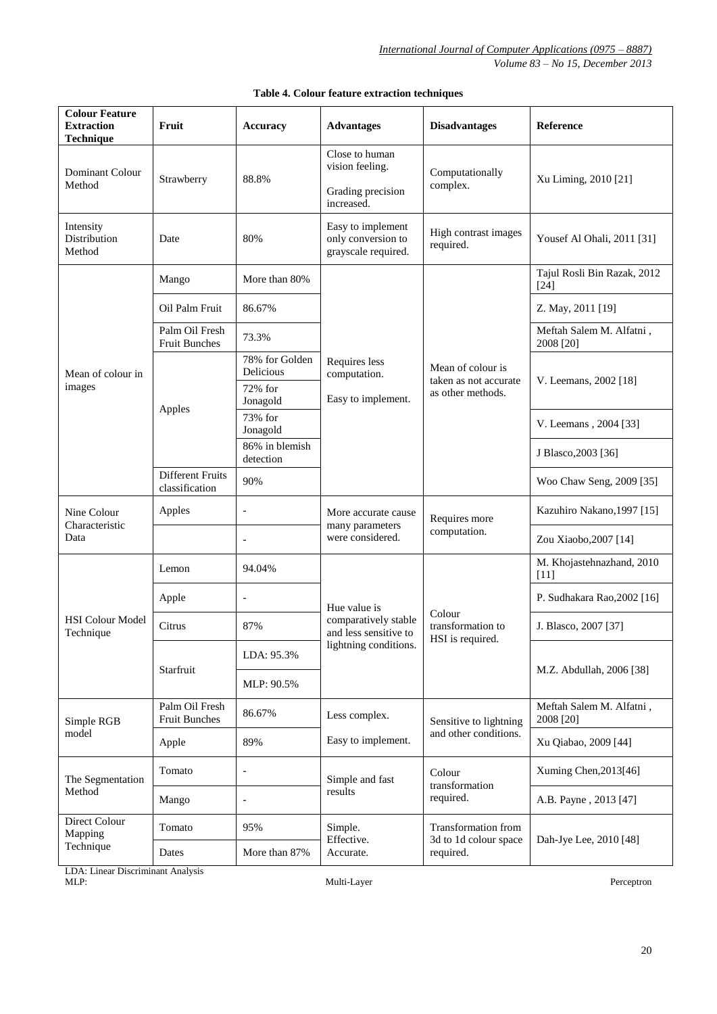*International Journal of Computer Applications (0975 – 8887) Volume 83 – No 15, December 2013*

| <b>Colour Feature</b><br><b>Extraction</b><br><b>Technique</b> | Fruit                                  | <b>Accuracy</b>              | <b>Advantages</b>                                                      | <b>Disadvantages</b>                                            | <b>Reference</b>                      |
|----------------------------------------------------------------|----------------------------------------|------------------------------|------------------------------------------------------------------------|-----------------------------------------------------------------|---------------------------------------|
| <b>Dominant Colour</b><br>Method                               | Strawberry                             | 88.8%                        | Close to human<br>vision feeling.<br>Grading precision<br>increased.   | Computationally<br>complex.                                     | Xu Liming, 2010 [21]                  |
| Intensity<br>Distribution<br>Method                            | Date                                   | 80%                          | Easy to implement<br>only conversion to<br>grayscale required.         | High contrast images<br>required.                               | Yousef Al Ohali, 2011 [31]            |
| Mean of colour in<br>images                                    | Mango                                  | More than 80%                |                                                                        | Mean of colour is<br>taken as not accurate<br>as other methods. | Tajul Rosli Bin Razak, 2012<br>$[24]$ |
|                                                                | Oil Palm Fruit                         | 86.67%                       |                                                                        |                                                                 | Z. May, 2011 [19]                     |
|                                                                | Palm Oil Fresh<br><b>Fruit Bunches</b> | 73.3%                        |                                                                        |                                                                 | Meftah Salem M. Alfatni,<br>2008 [20] |
|                                                                | Apples                                 | 78% for Golden<br>Delicious  | Requires less<br>computation.<br>Easy to implement.                    |                                                                 | V. Leemans, 2002 [18]                 |
|                                                                |                                        | 72% for<br>Jonagold          |                                                                        |                                                                 |                                       |
|                                                                |                                        | 73% for<br>Jonagold          |                                                                        |                                                                 | V. Leemans, 2004 [33]                 |
|                                                                |                                        | 86% in blemish<br>detection  |                                                                        |                                                                 | J Blasco, 2003 [36]                   |
|                                                                | Different Fruits<br>classification     | 90%                          |                                                                        |                                                                 | Woo Chaw Seng, 2009 [35]              |
| Nine Colour<br>Characteristic<br>Data                          | Apples                                 | $\qquad \qquad \blacksquare$ | More accurate cause<br>many parameters                                 | Requires more<br>computation.                                   | Kazuhiro Nakano, 1997 [15]            |
|                                                                |                                        | $\overline{a}$               | were considered.                                                       |                                                                 | Zou Xiaobo, 2007 [14]                 |
| <b>HSI Colour Model</b><br>Technique                           | Lemon                                  | 94.04%                       |                                                                        | Colour<br>transformation to<br>HSI is required.                 | M. Khojastehnazhand, 2010<br>$[11]$   |
|                                                                | Apple                                  | $\qquad \qquad \blacksquare$ | Hue value is                                                           |                                                                 | P. Sudhakara Rao, 2002 [16]           |
|                                                                | Citrus                                 | 87%                          | comparatively stable<br>and less sensitive to<br>lightning conditions. |                                                                 | J. Blasco, 2007 [37]                  |
|                                                                | Starfruit                              | LDA: 95.3%                   |                                                                        |                                                                 | M.Z. Abdullah, 2006 [38]              |
|                                                                |                                        | MLP: 90.5%                   |                                                                        |                                                                 |                                       |
| Simple RGB<br>model                                            | Palm Oil Fresh<br><b>Fruit Bunches</b> | 86.67%                       | Less complex.                                                          | Sensitive to lightning                                          | Meftah Salem M. Alfatni,<br>2008 [20] |
|                                                                | Apple                                  | 89%                          | Easy to implement.                                                     | and other conditions.                                           | Xu Qiabao, 2009 [44]                  |
| The Segmentation<br>Method                                     | Tomato                                 | $\qquad \qquad \blacksquare$ | Simple and fast                                                        | Colour<br>transformation                                        | Xuming Chen, 2013[46]                 |
|                                                                | Mango                                  | $\overline{\phantom{a}}$     | results                                                                | required.                                                       | A.B. Payne, 2013 [47]                 |
| Direct Colour<br>Mapping<br>Technique                          | Tomato                                 | 95%                          | Simple.<br>Effective.                                                  | Transformation from<br>3d to 1d colour space                    | Dah-Jye Lee, 2010 [48]                |
|                                                                | Dates                                  | More than 87%                | required.<br>Accurate.                                                 |                                                                 |                                       |

## **Table 4. Colour feature extraction techniques**

LDA: Linear Discriminant Analysis MLP: Multi-Layer Perceptron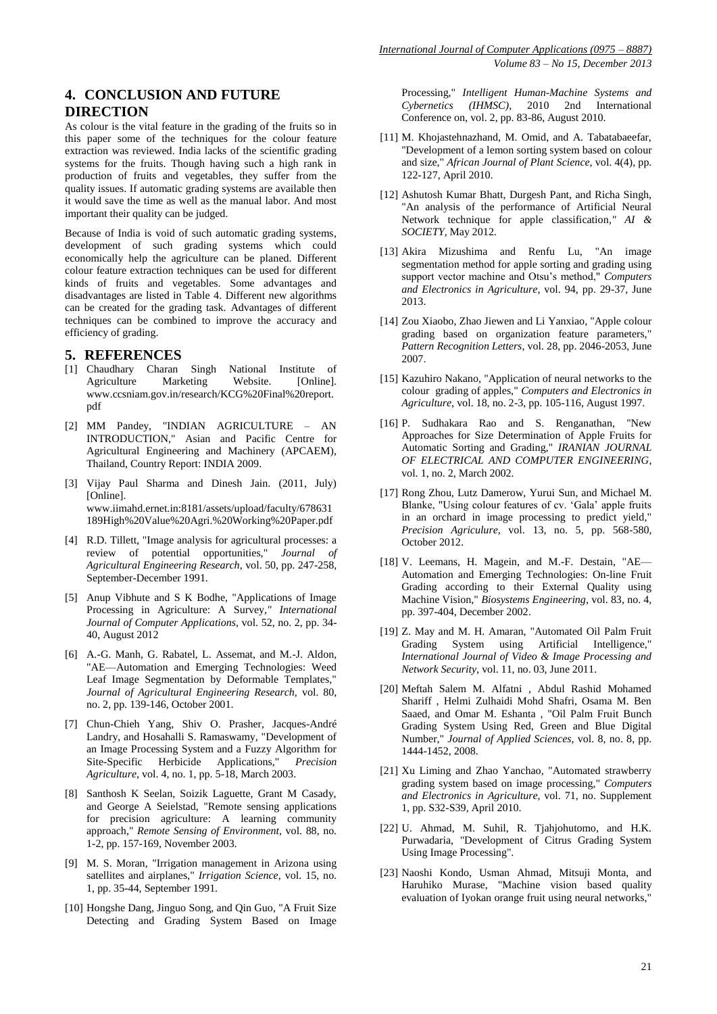## **4. CONCLUSION AND FUTURE DIRECTION**

As colour is the vital feature in the grading of the fruits so in this paper some of the techniques for the colour feature extraction was reviewed. India lacks of the scientific grading systems for the fruits. Though having such a high rank in production of fruits and vegetables, they suffer from the quality issues. If automatic grading systems are available then it would save the time as well as the manual labor. And most important their quality can be judged.

Because of India is void of such automatic grading systems, development of such grading systems which could economically help the agriculture can be planed. Different colour feature extraction techniques can be used for different kinds of fruits and vegetables. Some advantages and disadvantages are listed in Table 4. Different new algorithms can be created for the grading task. Advantages of different techniques can be combined to improve the accuracy and efficiency of grading.

#### **5. REFERENCES**

- [1] Chaudhary Charan Singh National Institute of Agriculture Marketing Website. [Online]. [www.ccsniam.gov.in/research/KCG%20Final%20report.](file:///E:/Studdyy/%23%23SVIT/ME%20Semester%203/Dissertation/IJCA%20Paper/ijcadecember2013editionletterofacceptance/www.ccsniam.gov.in/research/KCG%20Final%20report.pdf‎) [pdf](file:///E:/Studdyy/%23%23SVIT/ME%20Semester%203/Dissertation/IJCA%20Paper/ijcadecember2013editionletterofacceptance/www.ccsniam.gov.in/research/KCG%20Final%20report.pdf‎)
- [2] MM Pandey, "INDIAN AGRICULTURE AN INTRODUCTION," Asian and Pacific Centre for Agricultural Engineering and Machinery (APCAEM), Thailand, Country Report: INDIA 2009.
- [3] Vijay Paul Sharma and Dinesh Jain. (2011, July) [Online]. [www.iimahd.ernet.in:8181/assets/upload/faculty/678631](www.iimahd.ernet.in:8181/assets/upload/faculty/678631189High%20Value%20Agri.%20Working%20Paper.pdf) [189High%20Value%20Agri.%20Working%20Paper.pdf](www.iimahd.ernet.in:8181/assets/upload/faculty/678631189High%20Value%20Agri.%20Working%20Paper.pdf)
- [4] R.D. Tillett, "Image analysis for agricultural processes: a review of potential opportunities," *Journal of Agricultural Engineering Research*, vol. 50, pp. 247-258, September-December 1991.
- [5] Anup Vibhute and S K Bodhe, "Applications of Image Processing in Agriculture: A Survey*," International Journal of Computer Applications*, vol. 52, no. 2, pp. 34- 40, August 2012
- [6] A.-G. Manh, G. Rabatel, L. Assemat, and M.-J. Aldon, "AE—Automation and Emerging Technologies: Weed Leaf Image Segmentation by Deformable Templates," *Journal of Agricultural Engineering Research,* vol. 80, no. 2, pp. 139-146, October 2001.
- [7] Chun-Chieh Yang, Shiv O. Prasher, Jacques-André Landry, and Hosahalli S. Ramaswamy, "Development of an Image Processing System and a Fuzzy Algorithm for Site-Specific Herbicide Applications," *Precision Agriculture*, vol. 4, no. 1, pp. 5-18, March 2003.
- [8] Santhosh K Seelan, Soizik Laguette, Grant M Casady, and George A Seielstad, "Remote sensing applications for precision agriculture: A learning community approach," *Remote Sensing of Environment*, vol. 88, no. 1-2, pp. 157-169, November 2003.
- [9] M. S. Moran, "Irrigation management in Arizona using satellites and airplanes," *Irrigation Science*, vol. 15, no. 1, pp. 35-44, September 1991.
- [10] Hongshe Dang, Jinguo Song, and Qin Guo, "A Fruit Size Detecting and Grading System Based on Image

Processing," *Intelligent Human-Machine Systems and Cybernetics (IHMSC)*, 2010 2nd International Conference on, vol. 2, pp. 83-86, August 2010.

- [11] M. Khojastehnazhand, M. Omid, and A. Tabatabaeefar, "Development of a lemon sorting system based on colour and size," *African Journal of Plant Science*, vol. 4(4), pp. 122-127, April 2010.
- [12] Ashutosh Kumar Bhatt, Durgesh Pant, and Richa Singh, "An analysis of the performance of Artificial Neural Network technique for apple classification*," AI & SOCIETY*, May 2012.
- [13] Akira Mizushima and Renfu Lu, "An image segmentation method for apple sorting and grading using support vector machine and Otsu's method," *Computers and Electronics in Agriculture*, vol. 94, pp. 29-37, June 2013.
- [14] Zou Xiaobo, Zhao Jiewen and Li Yanxiao, "Apple colour grading based on organization feature parameters," *Pattern Recognition Letters*, vol. 28, pp. 2046-2053, June 2007.
- [15] Kazuhiro Nakano, "Application of neural networks to the colour grading of apples," *Computers and Electronics in Agriculture*, vol. 18, no. 2-3, pp. 105-116, August 1997.
- [16] P. Sudhakara Rao and S. Renganathan, "New Approaches for Size Determination of Apple Fruits for Automatic Sorting and Grading," *IRANIAN JOURNAL OF ELECTRICAL AND COMPUTER ENGINEERING*, vol. 1, no. 2, March 2002.
- [17] Rong Zhou, Lutz Damerow, Yurui Sun, and Michael M. Blanke, "Using colour features of cv. 'Gala' apple fruits in an orchard in image processing to predict yield," *Precision Agriculure*, vol. 13, no. 5, pp. 568-580, October 2012.
- [18] V. Leemans, H. Magein, and M.-F. Destain, "AE— Automation and Emerging Technologies: On-line Fruit Grading according to their External Quality using Machine Vision," *Biosystems Engineering*, vol. 83, no. 4, pp. 397-404, December 2002.
- [19] Z. May and M. H. Amaran, "Automated Oil Palm Fruit Grading System using Artificial Intelligence," *International Journal of Video & Image Processing and Network Security*, vol. 11, no. 03, June 2011.
- [20] Meftah Salem M. Alfatni , Abdul Rashid Mohamed Shariff , Helmi Zulhaidi Mohd Shafri, Osama M. Ben Saaed, and Omar M. Eshanta , "Oil Palm Fruit Bunch Grading System Using Red, Green and Blue Digital Number," *Journal of Applied Sciences*, vol. 8, no. 8, pp. 1444-1452, 2008.
- [21] Xu Liming and Zhao Yanchao, "Automated strawberry grading system based on image processing," *Computers and Electronics in Agriculture*, vol. 71, no. Supplement 1, pp. S32-S39, April 2010.
- [22] U. Ahmad, M. Suhil, R. Tjahjohutomo, and H.K. Purwadaria, "Development of Citrus Grading System Using Image Processing".
- [23] Naoshi Kondo, Usman Ahmad, Mitsuji Monta, and Haruhiko Murase, "Machine vision based quality evaluation of Iyokan orange fruit using neural networks,"